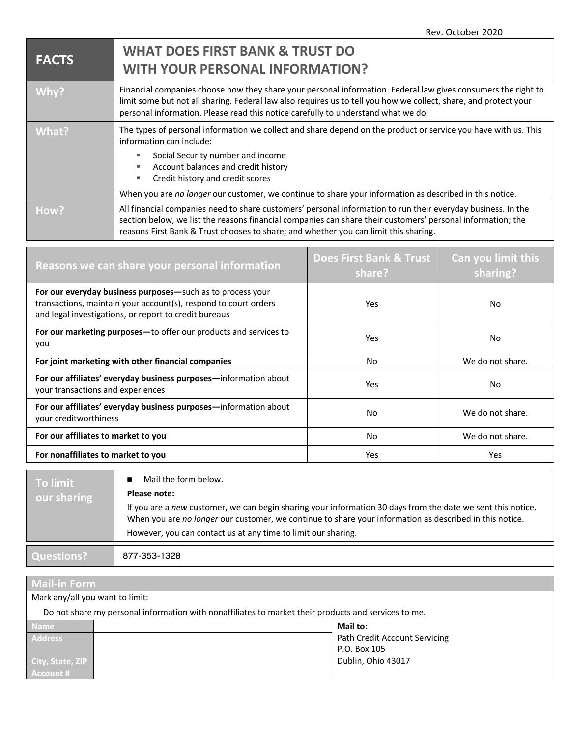| <b>FACTS</b> | <b>WHAT DOES FIRST BANK &amp; TRUST DO</b><br><b>WITH YOUR PERSONAL INFORMATION?</b>                                                                                                                                                                                                                                                                                            |
|--------------|---------------------------------------------------------------------------------------------------------------------------------------------------------------------------------------------------------------------------------------------------------------------------------------------------------------------------------------------------------------------------------|
| Why?         | Financial companies choose how they share your personal information. Federal law gives consumers the right to<br>limit some but not all sharing. Federal law also requires us to tell you how we collect, share, and protect your<br>personal information. Please read this notice carefully to understand what we do.                                                          |
| What?        | The types of personal information we collect and share depend on the product or service you have with us. This<br>information can include:<br>Social Security number and income<br>Account balances and credit history<br>ш<br>Credit history and credit scores<br>ш<br>When you are no longer our customer, we continue to share your information as described in this notice. |
| How?         | All financial companies need to share customers' personal information to run their everyday business. In the<br>section below, we list the reasons financial companies can share their customers' personal information; the<br>reasons First Bank & Trust chooses to share; and whether you can limit this sharing.                                                             |

| Reasons we can share your personal information                                                                                                                                         | <b>Does First Bank &amp; Trust</b><br>share? | Can you limit this<br>sharing? |
|----------------------------------------------------------------------------------------------------------------------------------------------------------------------------------------|----------------------------------------------|--------------------------------|
| For our everyday business purposes-such as to process your<br>transactions, maintain your account(s), respond to court orders<br>and legal investigations, or report to credit bureaus | Yes                                          | No                             |
| For our marketing purposes-to offer our products and services to<br>you                                                                                                                | Yes                                          | No                             |
| For joint marketing with other financial companies                                                                                                                                     | No                                           | We do not share.               |
| For our affiliates' everyday business purposes—information about<br>your transactions and experiences                                                                                  | Yes                                          | No                             |
| For our affiliates' everyday business purposes-information about<br>your creditworthiness                                                                                              | <b>No</b>                                    | We do not share.               |
| For our affiliates to market to you                                                                                                                                                    | <b>No</b>                                    | We do not share.               |
| For nonaffiliates to market to you                                                                                                                                                     | Yes                                          | Yes                            |

| Mail the form below.<br>To limit<br>Please note:<br>our sharing                                                                                                                                                                                                                         |  |
|-----------------------------------------------------------------------------------------------------------------------------------------------------------------------------------------------------------------------------------------------------------------------------------------|--|
| If you are a new customer, we can begin sharing your information 30 days from the date we sent this notice.<br>When you are no longer our customer, we continue to share your information as described in this notice.<br>However, you can contact us at any time to limit our sharing. |  |
|                                                                                                                                                                                                                                                                                         |  |
| Questions?<br>877-353-1328                                                                                                                                                                                                                                                              |  |

| <b>Mail-in Form</b>                                                                                  |  |                               |  |  |  |
|------------------------------------------------------------------------------------------------------|--|-------------------------------|--|--|--|
| Mark any/all you want to limit:                                                                      |  |                               |  |  |  |
| Do not share my personal information with nonaffiliates to market their products and services to me. |  |                               |  |  |  |
| <b>Name</b>                                                                                          |  | Mail to:                      |  |  |  |
| Address                                                                                              |  | Path Credit Account Servicing |  |  |  |
|                                                                                                      |  | P.O. Box 105                  |  |  |  |
| City, State, ZIP                                                                                     |  | Dublin, Ohio 43017            |  |  |  |
| Account #                                                                                            |  |                               |  |  |  |